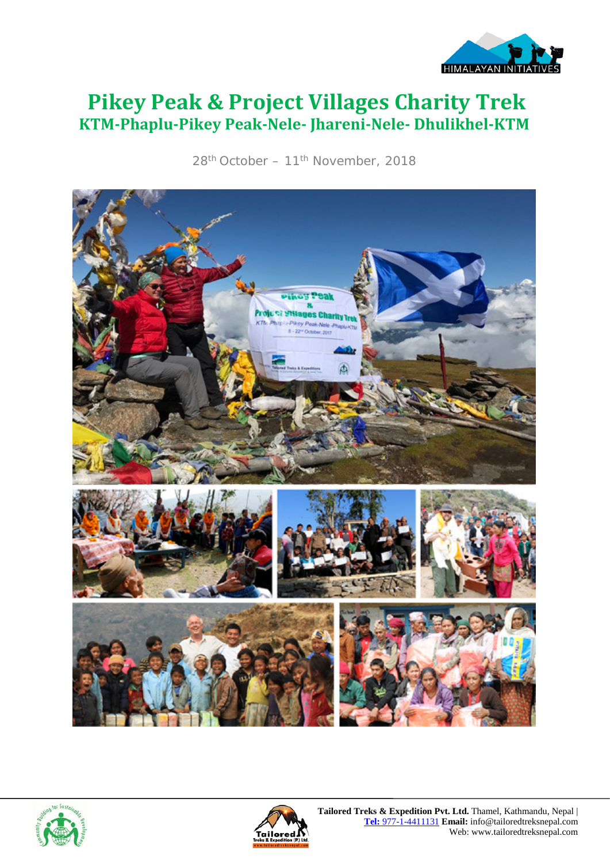

# **Pikey Peak & Project Villages Charity Trek KTM-Phaplu-Pikey Peak-Nele- Jhareni-Nele- Dhulikhel-KTM**

28<sup>th</sup> October – 11<sup>th</sup> November, 2018





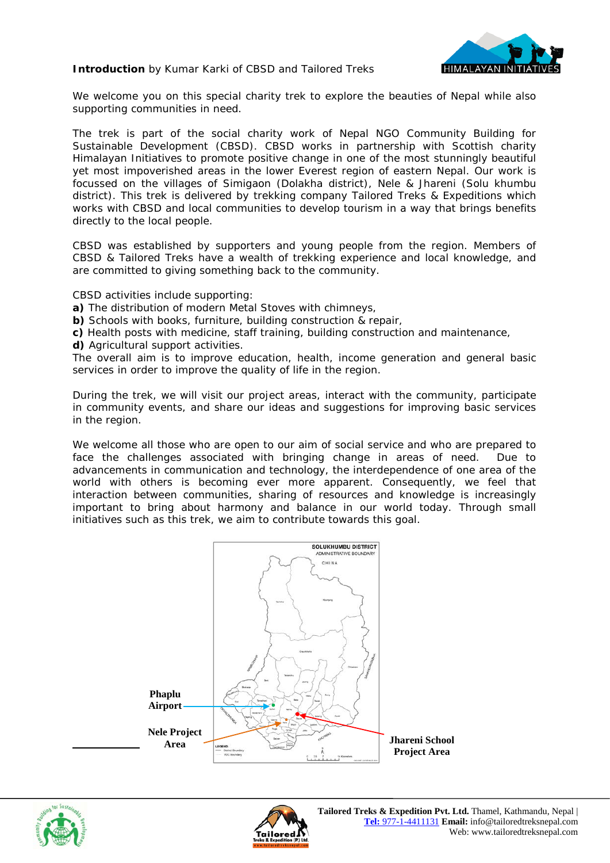**Introduction** by Kumar Karki of CBSD and Tailored Treks



We welcome you on this special charity trek to explore the beauties of Nepal while also supporting communities in need.

The trek is part of the social charity work of Nepal NGO Community Building for Sustainable Development (CBSD). CBSD works in partnership with Scottish charity Himalayan Initiatives to promote positive change in one of the most stunningly beautiful yet most impoverished areas in the lower Everest region of eastern Nepal. Our work is focussed on the villages of Simigaon (Dolakha district), Nele & Jhareni (Solu khumbu district). This trek is delivered by trekking company Tailored Treks & Expeditions which works with CBSD and local communities to develop tourism in a way that brings benefits directly to the local people.

CBSD was established by supporters and young people from the region. Members of CBSD & Tailored Treks have a wealth of trekking experience and local knowledge, and are committed to giving something back to the community.

CBSD activities include supporting:

**a)** The distribution of modern Metal Stoves with chimneys,

**b)** Schools with books, furniture, building construction & repair,

**c)** Health posts with medicine, staff training, building construction and maintenance,

**d)** Agricultural support activities.

The overall aim is to improve education, health, income generation and general basic services in order to improve the quality of life in the region.

During the trek, we will visit our project areas, interact with the community, participate in community events, and share our ideas and suggestions for improving basic services in the region.

We welcome all those who are open to our aim of social service and who are prepared to face the challenges associated with bringing change in areas of need. Due to advancements in communication and technology, the interdependence of one area of the world with others is becoming ever more apparent. Consequently, we feel that interaction between communities, sharing of resources and knowledge is increasingly important to bring about harmony and balance in our world today. Through small initiatives such as this trek, we aim to contribute towards this goal.





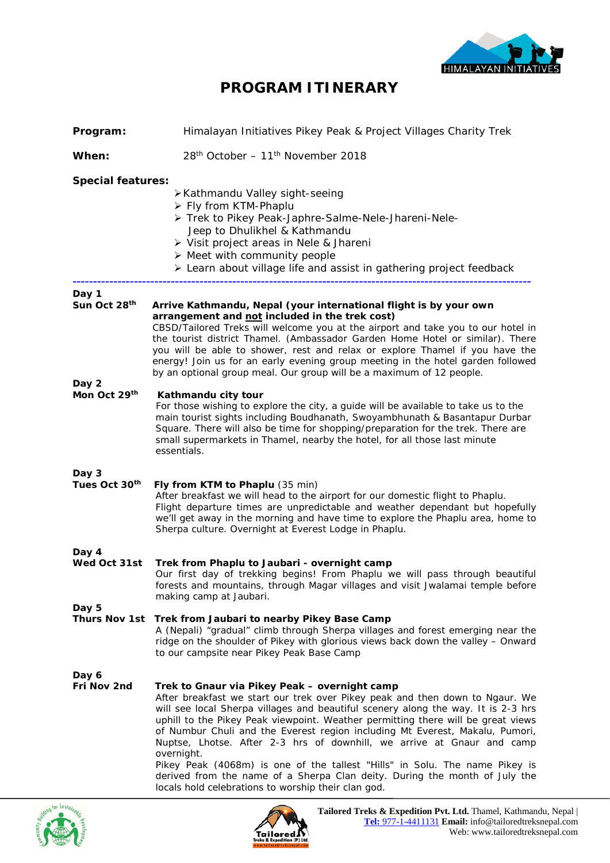

### **PROGRAM ITINERARY**

| Program:                       | Himalayan Initiatives Pikey Peak & Project Villages Charity Trek                                                                                                                                                                                                                                                                                                                                                                                                                                                                                                                                                                                                                                   |  |
|--------------------------------|----------------------------------------------------------------------------------------------------------------------------------------------------------------------------------------------------------------------------------------------------------------------------------------------------------------------------------------------------------------------------------------------------------------------------------------------------------------------------------------------------------------------------------------------------------------------------------------------------------------------------------------------------------------------------------------------------|--|
| When:                          | 28 <sup>th</sup> October - 11 <sup>th</sup> November 2018                                                                                                                                                                                                                                                                                                                                                                                                                                                                                                                                                                                                                                          |  |
| <b>Special features:</b>       | ≻Kathmandu Valley sight-seeing<br>> Fly from KTM-Phaplu<br>> Trek to Pikey Peak-Japhre-Salme-Nele-Jhareni-Nele-<br>Jeep to Dhulikhel & Kathmandu<br>> Visit project areas in Nele & Jhareni<br>$\triangleright$ Meet with community people<br>> Learn about village life and assist in gathering project feedback                                                                                                                                                                                                                                                                                                                                                                                  |  |
| Day 1<br>Sun Oct 28th<br>Day 2 | Arrive Kathmandu, Nepal (your international flight is by your own<br>arrangement and not included in the trek cost)<br>CBSD/Tailored Treks will welcome you at the airport and take you to our hotel in<br>the tourist district Thamel. (Ambassador Garden Home Hotel or similar). There<br>you will be able to shower, rest and relax or explore Thamel if you have the<br>energy! Join us for an early evening group meeting in the hotel garden followed<br>by an optional group meal. Our group will be a maximum of 12 people.                                                                                                                                                                |  |
| Mon Oct 29th                   | Kathmandu city tour<br>For those wishing to explore the city, a guide will be available to take us to the<br>main tourist sights including Boudhanath, Swoyambhunath & Basantapur Durbar<br>Square. There will also be time for shopping/preparation for the trek. There are<br>small supermarkets in Thamel, nearby the hotel, for all those last minute<br>essentials.                                                                                                                                                                                                                                                                                                                           |  |
| Day 3<br>Tues Oct 30th         | Fly from KTM to Phaplu (35 min)<br>After breakfast we will head to the airport for our domestic flight to Phaplu.<br>Flight departure times are unpredictable and weather dependant but hopefully<br>we'll get away in the morning and have time to explore the Phaplu area, home to<br>Sherpa culture. Overnight at Everest Lodge in Phaplu.                                                                                                                                                                                                                                                                                                                                                      |  |
| Day 4<br>Wed Oct 31st          | Trek from Phaplu to Jaubari - overnight camp<br>Our first day of trekking begins! From Phaplu we will pass through beautiful<br>forests and mountains, through Magar villages and visit Jwalamai temple before<br>making camp at Jaubari.                                                                                                                                                                                                                                                                                                                                                                                                                                                          |  |
| Day 5                          | Thurs Nov 1st Trek from Jaubari to nearby Pikey Base Camp<br>A (Nepali) "gradual" climb through Sherpa villages and forest emerging near the<br>ridge on the shoulder of Pikey with glorious views back down the valley - Onward<br>to our campsite near Pikey Peak Base Camp                                                                                                                                                                                                                                                                                                                                                                                                                      |  |
| Day 6<br>Fri Nov 2nd           | Trek to Gnaur via Pikey Peak - overnight camp<br>After breakfast we start our trek over Pikey peak and then down to Ngaur. We<br>will see local Sherpa villages and beautiful scenery along the way. It is 2-3 hrs<br>uphill to the Pikey Peak viewpoint. Weather permitting there will be great views<br>of Numbur Chuli and the Everest region including Mt Everest, Makalu, Pumori,<br>Nuptse, Lhotse. After 2-3 hrs of downhill, we arrive at Gnaur and camp<br>overnight.<br>Pikey Peak (4068m) is one of the tallest "Hills" in Solu. The name Pikey is<br>derived from the name of a Sherpa Clan deity. During the month of July the<br>locals hold celebrations to worship their clan god. |  |



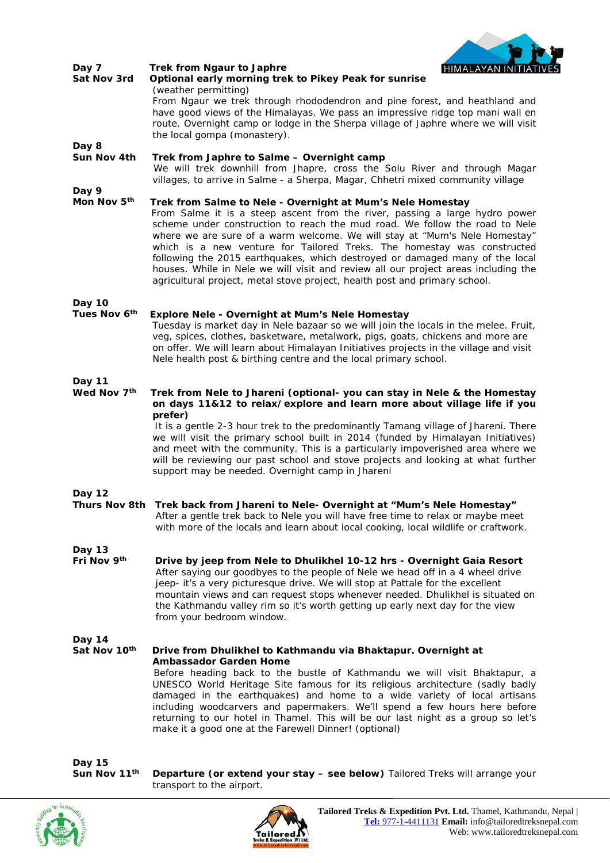

| Day 7<br>Sat Nov 3rd   | Trek from Ngaur to Japhre<br>HIMALAYAN INITIATI<br>Optional early morning trek to Pikey Peak for sunrise<br>(weather permitting)<br>From Ngaur we trek through rhododendron and pine forest, and heathland and<br>have good views of the Himalayas. We pass an impressive ridge top mani wall en<br>route. Overnight camp or lodge in the Sherpa village of Japhre where we will visit<br>the local gompa (monastery).                                                                                                                                                                                                                |
|------------------------|---------------------------------------------------------------------------------------------------------------------------------------------------------------------------------------------------------------------------------------------------------------------------------------------------------------------------------------------------------------------------------------------------------------------------------------------------------------------------------------------------------------------------------------------------------------------------------------------------------------------------------------|
| Day 8<br>Sun Nov 4th   | Trek from Japhre to Salme - Overnight camp<br>We will trek downhill from Jhapre, cross the Solu River and through Magar<br>villages, to arrive in Salme - a Sherpa, Magar, Chhetri mixed community village                                                                                                                                                                                                                                                                                                                                                                                                                            |
| Day 9<br>Mon Nov 5th   | Trek from Salme to Nele - Overnight at Mum's Nele Homestay<br>From Salme it is a steep ascent from the river, passing a large hydro power<br>scheme under construction to reach the mud road. We follow the road to Nele<br>where we are sure of a warm welcome. We will stay at "Mum's Nele Homestay"<br>which is a new venture for Tailored Treks. The homestay was constructed<br>following the 2015 earthquakes, which destroyed or damaged many of the local<br>houses. While in Nele we will visit and review all our project areas including the<br>agricultural project, metal stove project, health post and primary school. |
| Day 10<br>Tues Nov 6th | Explore Nele - Overnight at Mum's Nele Homestay<br>Tuesday is market day in Nele bazaar so we will join the locals in the melee. Fruit,<br>veg, spices, clothes, basketware, metalwork, pigs, goats, chickens and more are<br>on offer. We will learn about Himalayan Initiatives projects in the village and visit<br>Nele health post & birthing centre and the local primary school.                                                                                                                                                                                                                                               |
| Day 11<br>Wed Nov 7th  | Trek from Nele to Jhareni (optional- you can stay in Nele & the Homestay<br>on days 11&12 to relax/explore and learn more about village life if you<br>prefer)<br>It is a gentle 2-3 hour trek to the predominantly Tamang village of Jhareni. There<br>we will visit the primary school built in 2014 (funded by Himalayan Initiatives)<br>and meet with the community. This is a particularly impoverished area where we<br>will be reviewing our past school and stove projects and looking at what further<br>support may be needed. Overnight camp in Jhareni                                                                    |
| <b>Day 12</b>          | Thurs Nov 8th Trek back from Jhareni to Nele- Overnight at "Mum's Nele Homestay"<br>After a gentle trek back to Nele you will have free time to relax or maybe meet<br>with more of the locals and learn about local cooking, local wildlife or craftwork.                                                                                                                                                                                                                                                                                                                                                                            |
| Day 13<br>Fri Nov 9th  | Drive by jeep from Nele to Dhulikhel 10-12 hrs - Overnight Gaia Resort<br>After saying our goodbyes to the people of Nele we head off in a 4 wheel drive<br>jeep- it's a very picturesque drive. We will stop at Pattale for the excellent<br>mountain views and can request stops whenever needed. Dhulikhel is situated on<br>the Kathmandu valley rim so it's worth getting up early next day for the view<br>from your bedroom window.                                                                                                                                                                                            |
| Day 14<br>Sat Nov 10th | Drive from Dhulikhel to Kathmandu via Bhaktapur. Overnight at<br><b>Ambassador Garden Home</b><br>Before heading back to the bustle of Kathmandu we will visit Bhaktapur, a<br>UNESCO World Heritage Site famous for its religious architecture (sadly badly<br>damaged in the earthquakes) and home to a wide variety of local artisans<br>including woodcarvers and papermakers. We'll spend a few hours here before<br>returning to our hotel in Thamel. This will be our last night as a group so let's<br>make it a good one at the Farewell Dinner! (optional)                                                                  |

Day 15<br>**Sun Nov 11<sup>th</sup>** 

**Departure (or extend your stay - see below) Tailored Treks will arrange your** transport to the airport.



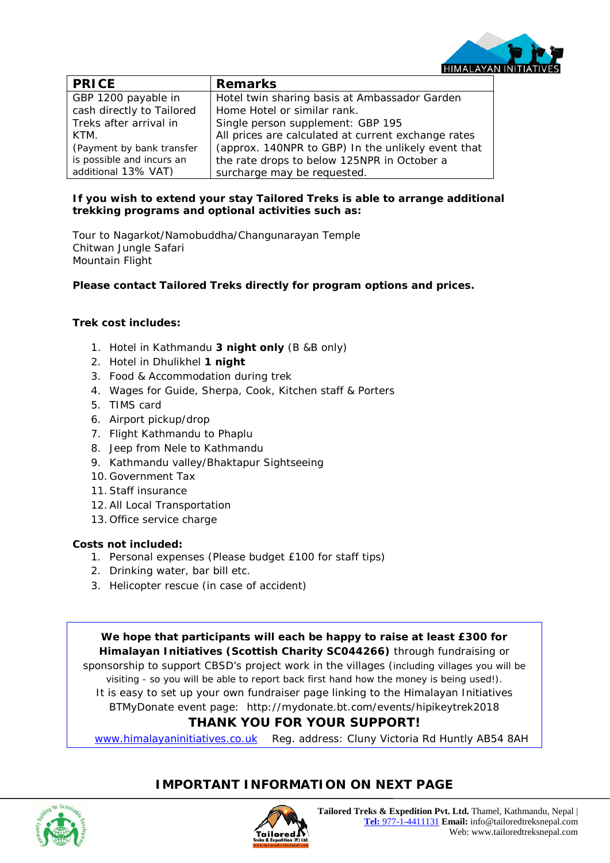

| <b>PRICE</b>              | <b>Remarks</b>                                      |
|---------------------------|-----------------------------------------------------|
| GBP 1200 payable in       | Hotel twin sharing basis at Ambassador Garden       |
| cash directly to Tailored | Home Hotel or similar rank.                         |
| Treks after arrival in    | Single person supplement: GBP 195                   |
| KTM.                      | All prices are calculated at current exchange rates |
| (Payment by bank transfer | (approx. 140NPR to GBP) In the unlikely event that  |
| is possible and incurs an | the rate drops to below 125NPR in October a         |
| additional 13% VAT)       | surcharge may be requested.                         |

#### **If you wish to extend your stay Tailored Treks is able to arrange additional trekking programs and optional activities such as:**

Tour to Nagarkot/Namobuddha/Changunarayan Temple Chitwan Jungle Safari Mountain Flight

**Please contact Tailored Treks directly for program options and prices.** 

#### **Trek cost includes:**

- 1. Hotel in Kathmandu **3 night only** (B &B only)
- 2. Hotel in Dhulikhel **1 night**
- 3. Food & Accommodation during trek
- 4. Wages for Guide, Sherpa, Cook, Kitchen staff & Porters
- 5. TIMS card
- 6. Airport pickup/drop
- 7. Flight Kathmandu to Phaplu
- 8. Jeep from Nele to Kathmandu
- 9. Kathmandu valley/Bhaktapur Sightseeing
- 10. Government Tax
- 11.Staff insurance
- 12.All Local Transportation
- 13. Office service charge

#### **Costs not included:**

- 1. Personal expenses (Please budget £100 for staff tips)
- 2. Drinking water, bar bill etc.
- 3. Helicopter rescue (in case of accident)

**We hope that participants will each be happy to raise at least £300 for Himalayan Initiatives (Scottish Charity SC044266)** through fundraising or sponsorship to support CBSD's project work in the villages (including villages you will be visiting - so you will be able to report back first hand how the money is being used!). It is easy to set up your own fundraiser page linking to the Himalayan Initiatives BTMyDonate event page: http://mydonate.bt.com/events/hipikeytrek2018 **THANK YOU FOR YOUR SUPPORT!**

[www.himalayaninitiatives.co.uk](http://www.himalayaninitiatives.co.uk/) Reg. address: Cluny Victoria Rd Huntly AB54 8AH

### **IMPORTANT INFORMATION ON NEXT PAGE**

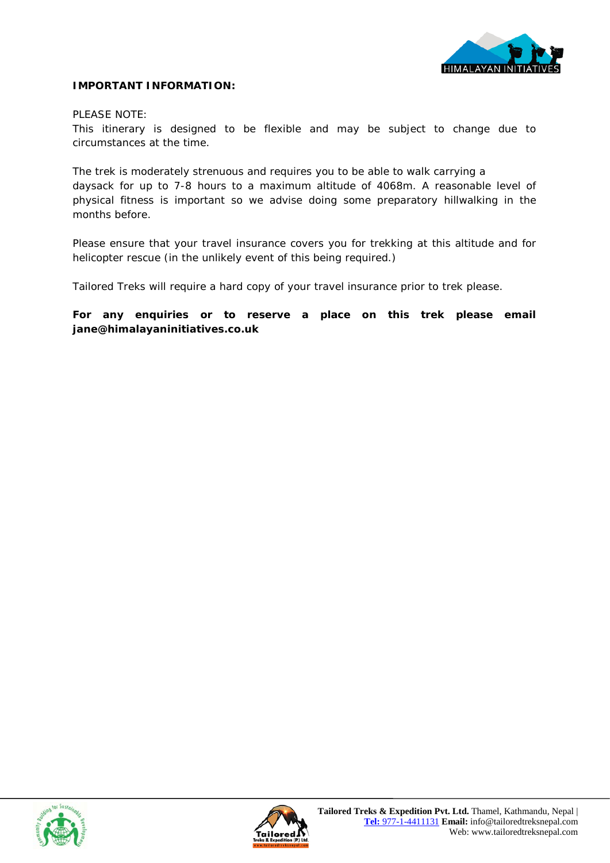

#### **IMPORTANT INFORMATION:**

#### PLEASE NOTE:

This itinerary is designed to be flexible and may be subject to change due to circumstances at the time.

The trek is moderately strenuous and requires you to be able to walk carrying a daysack for up to 7-8 hours to a maximum altitude of 4068m. A reasonable level of physical fitness is important so we advise doing some preparatory hillwalking in the months before.

Please ensure that your travel insurance covers you for trekking at this altitude and for helicopter rescue (in the unlikely event of this being required.)

Tailored Treks will require a hard copy of your travel insurance prior to trek please.

**For any enquiries or to reserve a place on this trek please email jane@himalayaninitiatives.co.uk**